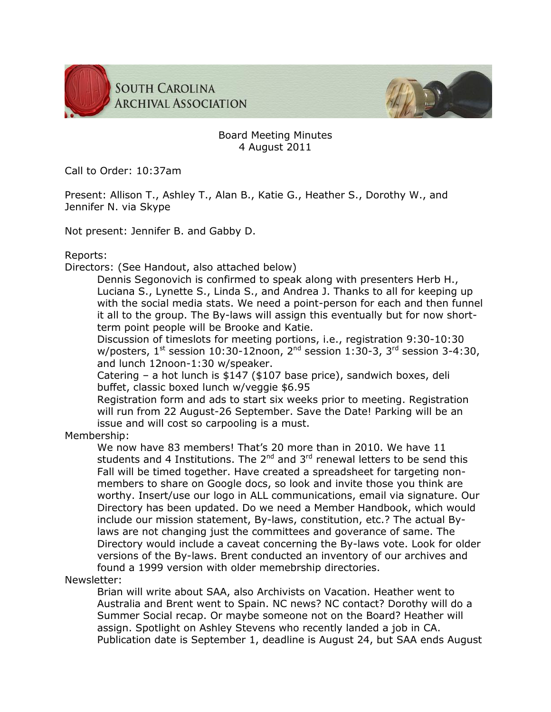



## Board Meeting Minutes 4 August 2011

Call to Order: 10:37am

Present: Allison T., Ashley T., Alan B., Katie G., Heather S., Dorothy W., and Jennifer N. via Skype

Not present: Jennifer B. and Gabby D.

Reports:

Directors: (See Handout, also attached below)

Dennis Segonovich is confirmed to speak along with presenters Herb H., Luciana S., Lynette S., Linda S., and Andrea J. Thanks to all for keeping up with the social media stats. We need a point-person for each and then funnel it all to the group. The By-laws will assign this eventually but for now shortterm point people will be Brooke and Katie.

Discussion of timeslots for meeting portions, i.e., registration 9:30-10:30 w/posters,  $1^{st}$  session 10:30-12noon,  $2^{nd}$  session 1:30-3,  $3^{rd}$  session 3-4:30, and lunch 12noon-1:30 w/speaker.

Catering – a hot lunch is \$147 (\$107 base price), sandwich boxes, deli buffet, classic boxed lunch w/veggie \$6.95

Registration form and ads to start six weeks prior to meeting. Registration will run from 22 August-26 September. Save the Date! Parking will be an issue and will cost so carpooling is a must.

Membership:

We now have 83 members! That's 20 more than in 2010. We have 11 students and 4 Institutions. The  $2^{nd}$  and  $3^{rd}$  renewal letters to be send this Fall will be timed together. Have created a spreadsheet for targeting nonmembers to share on Google docs, so look and invite those you think are worthy. Insert/use our logo in ALL communications, email via signature. Our Directory has been updated. Do we need a Member Handbook, which would include our mission statement, By-laws, constitution, etc.? The actual Bylaws are not changing just the committees and goverance of same. The Directory would include a caveat concerning the By-laws vote. Look for older versions of the By-laws. Brent conducted an inventory of our archives and found a 1999 version with older memebrship directories.

Newsletter:

Brian will write about SAA, also Archivists on Vacation. Heather went to Australia and Brent went to Spain. NC news? NC contact? Dorothy will do a Summer Social recap. Or maybe someone not on the Board? Heather will assign. Spotlight on Ashley Stevens who recently landed a job in CA. Publication date is September 1, deadline is August 24, but SAA ends August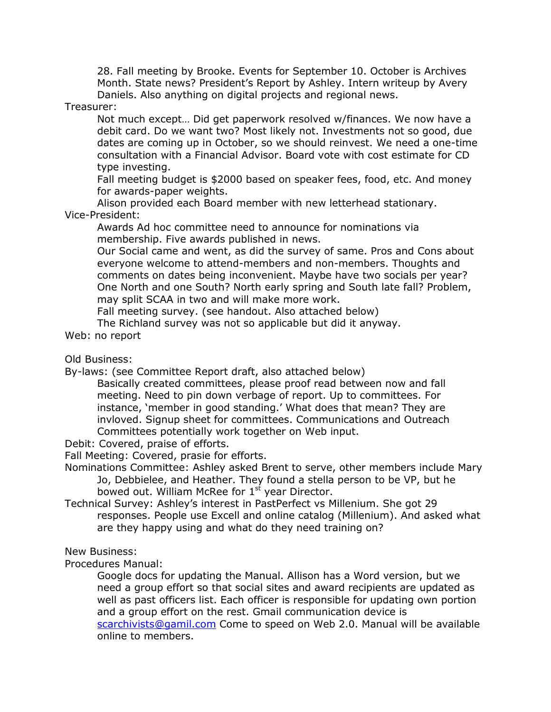28. Fall meeting by Brooke. Events for September 10. October is Archives Month. State news? President's Report by Ashley. Intern writeup by Avery Daniels. Also anything on digital projects and regional news.

Treasurer:

Not much except… Did get paperwork resolved w/finances. We now have a debit card. Do we want two? Most likely not. Investments not so good, due dates are coming up in October, so we should reinvest. We need a one-time consultation with a Financial Advisor. Board vote with cost estimate for CD type investing.

Fall meeting budget is \$2000 based on speaker fees, food, etc. And money for awards-paper weights.

Alison provided each Board member with new letterhead stationary. Vice-President:

Awards Ad hoc committee need to announce for nominations via membership. Five awards published in news.

Our Social came and went, as did the survey of same. Pros and Cons about everyone welcome to attend-members and non-members. Thoughts and comments on dates being inconvenient. Maybe have two socials per year? One North and one South? North early spring and South late fall? Problem, may split SCAA in two and will make more work.

Fall meeting survey. (see handout. Also attached below)

The Richland survey was not so applicable but did it anyway.

Web: no report

Old Business:

By-laws: (see Committee Report draft, also attached below)

Basically created committees, please proof read between now and fall meeting. Need to pin down verbage of report. Up to committees. For instance, 'member in good standing.' What does that mean? They are invloved. Signup sheet for committees. Communications and Outreach Committees potentially work together on Web input.

Debit: Covered, praise of efforts.

Fall Meeting: Covered, prasie for efforts.

- Nominations Committee: Ashley asked Brent to serve, other members include Mary Jo, Debbielee, and Heather. They found a stella person to be VP, but he bowed out. William McRee for 1<sup>st</sup> year Director.
- Technical Survey: Ashley's interest in PastPerfect vs Millenium. She got 29 responses. People use Excell and online catalog (Millenium). And asked what are they happy using and what do they need training on?

## New Business:

Procedures Manual:

Google docs for updating the Manual. Allison has a Word version, but we need a group effort so that social sites and award recipients are updated as well as past officers list. Each officer is responsible for updating own portion and a group effort on the rest. Gmail communication device is [scarchivists@gamil.com](mailto:scarchivists@gamil.com) Come to speed on Web 2.0. Manual will be available online to members.